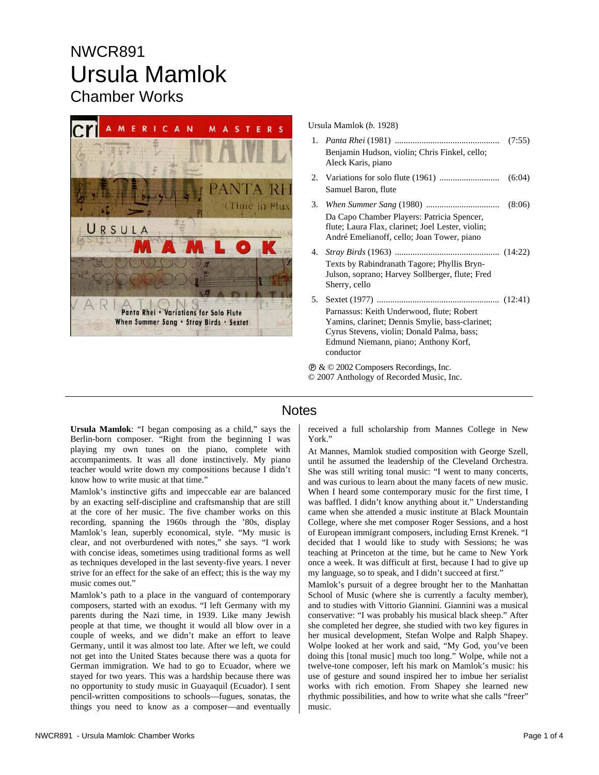# NWCR891 Ursula Mamlok Chamber Works



Ursula Mamlok (*b.* 1928)

1. *Panta Rhei* (1981) ............................................... (7:55) Benjamin Hudson, violin; Chris Finkel, cello; Aleck Karis, piano 2. Variations for solo flute (1961) ........................... (6:04) Samuel Baron, flute 3. *When Summer Sang* (1980) ................................. (8:06) Da Capo Chamber Players: Patricia Spencer, flute; Laura Flax, clarinet; Joel Lester, violin; André Emelianoff, cello; Joan Tower, piano 4. *Stray Birds* (1963) ............................................... (14:22) Texts by Rabindranath Tagore; Phyllis Bryn-Julson, soprano; Harvey Sollberger, flute; Fred Sherry, cello 5. Sextet (1977) ....................................................... (12:41) Parnassus: Keith Underwood, flute; Robert Yamins, clarinet; Dennis Smylie, bass-clarinet; Cyrus Stevens, violin; Donald Palma, bass; Edmund Niemann, piano; Anthony Korf, conductor

Ê & © 2002 Composers Recordings, Inc. © 2007 Anthology of Recorded Music, Inc.

### **Notes**

**Ursula Mamlok**: "I began composing as a child," says the Berlin-born composer. "Right from the beginning I was playing my own tunes on the piano, complete with accompaniments. It was all done instinctively. My piano teacher would write down my compositions because I didn't know how to write music at that time."

Mamlok's instinctive gifts and impeccable ear are balanced by an exacting self-discipline and craftsmanship that are still at the core of her music. The five chamber works on this recording, spanning the 1960s through the '80s, display Mamlok's lean, superbly economical, style. "My music is clear, and not overburdened with notes," she says. "I work with concise ideas, sometimes using traditional forms as well as techniques developed in the last seventy-five years. I never strive for an effect for the sake of an effect; this is the way my music comes out."

Mamlok's path to a place in the vanguard of contemporary composers, started with an exodus. "I left Germany with my parents during the Nazi time, in 1939. Like many Jewish people at that time, we thought it would all blow over in a couple of weeks, and we didn't make an effort to leave Germany, until it was almost too late. After we left, we could not get into the United States because there was a quota for German immigration. We had to go to Ecuador, where we stayed for two years. This was a hardship because there was no opportunity to study music in Guayaquil (Ecuador). I sent pencil-written compositions to schools—fugues, sonatas, the things you need to know as a composer—and eventually received a full scholarship from Mannes College in New York."

At Mannes, Mamlok studied composition with George Szell, until he assumed the leadership of the Cleveland Orchestra. She was still writing tonal music: "I went to many concerts, and was curious to learn about the many facets of new music. When I heard some contemporary music for the first time, I was baffled. I didn't know anything about it." Understanding came when she attended a music institute at Black Mountain College, where she met composer Roger Sessions, and a host of European immigrant composers, including Ernst Krenek. "I decided that I would like to study with Sessions; he was teaching at Princeton at the time, but he came to New York once a week. It was difficult at first, because I had to give up my language, so to speak, and I didn't succeed at first."

Mamlok's pursuit of a degree brought her to the Manhattan School of Music (where she is currently a faculty member), and to studies with Vittorio Giannini. Giannini was a musical conservative: "I was probably his musical black sheep." After she completed her degree, she studied with two key figures in her musical development, Stefan Wolpe and Ralph Shapey. Wolpe looked at her work and said, "My God, you've been doing this [tonal music] much too long." Wolpe, while not a twelve-tone composer, left his mark on Mamlok's music: his use of gesture and sound inspired her to imbue her serialist works with rich emotion. From Shapey she learned new rhythmic possibilities, and how to write what she calls "freer" music.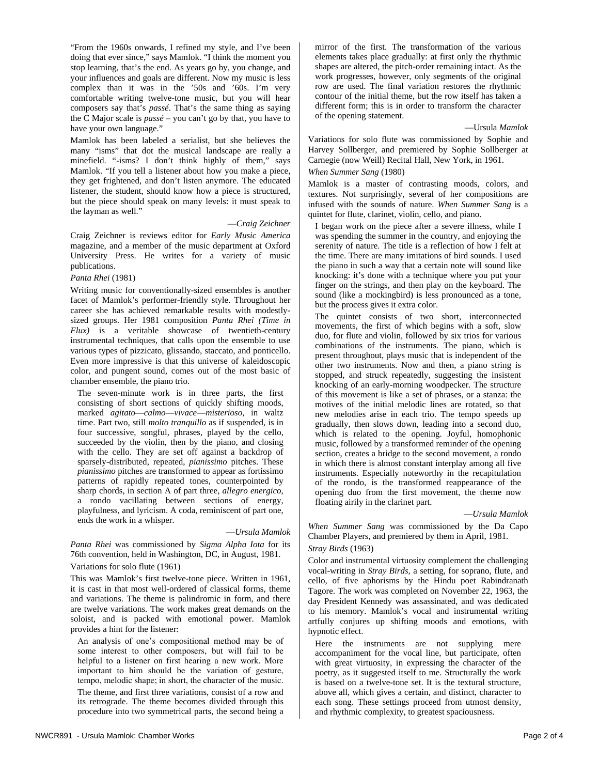"From the 1960s onwards, I refined my style, and I've been doing that ever since," says Mamlok. "I think the moment you stop learning, that's the end. As years go by, you change, and your influences and goals are different. Now my music is less complex than it was in the '50s and '60s. I'm very comfortable writing twelve-tone music, but you will hear composers say that's *passé*. That's the same thing as saying the C Major scale is *passé* – you can't go by that, you have to have your own language."

Mamlok has been labeled a serialist, but she believes the many "isms" that dot the musical landscape are really a minefield. "-isms? I don't think highly of them," says Mamlok. "If you tell a listener about how you make a piece, they get frightened, and don't listen anymore. The educated listener, the student, should know how a piece is structured, but the piece should speak on many levels: it must speak to the layman as well."

#### —*Craig Zeichner*

Craig Zeichner is reviews editor for *Early Music America* magazine, and a member of the music department at Oxford University Press. He writes for a variety of music publications.

#### *Panta Rhei* (1981)

Writing music for conventionally-sized ensembles is another facet of Mamlok's performer-friendly style. Throughout her career she has achieved remarkable results with modestlysized groups. Her 1981 composition *Panta Rhei (Time in Flux)* is a veritable showcase of twentieth-century instrumental techniques, that calls upon the ensemble to use various types of pizzicato, glissando, staccato, and ponticello. Even more impressive is that this universe of kaleidoscopic color, and pungent sound, comes out of the most basic of chamber ensemble, the piano trio.

The seven-minute work is in three parts, the first consisting of short sections of quickly shifting moods, marked *agitato*—*calmo*—*vivace*—*misterioso*, in waltz time. Part two, still *molto tranquillo* as if suspended, is in four successive, songful, phrases, played by the cello, succeeded by the violin, then by the piano, and closing with the cello. They are set off against a backdrop of sparsely-distributed, repeated, *pianissimo* pitches. These *pianissimo* pitches are transformed to appear as fortissimo patterns of rapidly repeated tones, counterpointed by sharp chords, in section A of part three, *allegro energico*, a rondo vacillating between sections of energy, playfulness, and lyricism. A coda, reminiscent of part one, ends the work in a whisper.

#### —*Ursula Mamlok*

*Panta Rhei* was commissioned by *Sigma Alpha Iota* for its 76th convention, held in Washington, DC, in August, 1981.

#### Variations for solo flute (1961)

This was Mamlok's first twelve-tone piece. Written in 1961, it is cast in that most well-ordered of classical forms, theme and variations. The theme is palindromic in form, and there are twelve variations. The work makes great demands on the soloist, and is packed with emotional power. Mamlok provides a hint for the listener:

An analysis of one's compositional method may be of some interest to other composers, but will fail to be helpful to a listener on first hearing a new work. More important to him should be the variation of gesture, tempo, melodic shape; in short, the character of the music. The theme, and first three variations, consist of a row and its retrograde. The theme becomes divided through this procedure into two symmetrical parts, the second being a

mirror of the first. The transformation of the various elements takes place gradually: at first only the rhythmic shapes are altered, the pitch-order remaining intact. As the work progresses, however, only segments of the original row are used. The final variation restores the rhythmic contour of the initial theme, but the row itself has taken a different form; this is in order to transform the character of the opening statement.

—Ursula *Mamlok*

Variations for solo flute was commissioned by Sophie and Harvey Sollberger, and premiered by Sophie Sollberger at Carnegie (now Weill) Recital Hall, New York, in 1961.

#### *When Summer Sang* (1980)

Mamlok is a master of contrasting moods, colors, and textures. Not surprisingly, several of her compositions are infused with the sounds of nature. *When Summer Sang* is a quintet for flute, clarinet, violin, cello, and piano.

I began work on the piece after a severe illness, while I was spending the summer in the country, and enjoying the serenity of nature. The title is a reflection of how I felt at the time. There are many imitations of bird sounds. I used the piano in such a way that a certain note will sound like knocking: it's done with a technique where you put your finger on the strings, and then play on the keyboard. The sound (like a mockingbird) is less pronounced as a tone, but the process gives it extra color.

The quintet consists of two short, interconnected movements, the first of which begins with a soft, slow duo, for flute and violin, followed by six trios for various combinations of the instruments. The piano, which is present throughout, plays music that is independent of the other two instruments. Now and then, a piano string is stopped, and struck repeatedly, suggesting the insistent knocking of an early-morning woodpecker. The structure of this movement is like a set of phrases, or a stanza: the motives of the initial melodic lines are rotated, so that new melodies arise in each trio. The tempo speeds up gradually, then slows down, leading into a second duo, which is related to the opening. Joyful, homophonic music, followed by a transformed reminder of the opening section, creates a bridge to the second movement, a rondo in which there is almost constant interplay among all five instruments. Especially noteworthy in the recapitulation of the rondo, is the transformed reappearance of the opening duo from the first movement, the theme now floating airily in the clarinet part.

#### —*Ursula Mamlok*

*When Summer Sang* was commissioned by the Da Capo Chamber Players, and premiered by them in April, 1981. *Stray Birds* (1963)

Color and instrumental virtuosity complement the challenging vocal-writing in *Stray Birds,* a setting, for soprano, flute, and cello, of five aphorisms by the Hindu poet Rabindranath Tagore. The work was completed on November 22, 1963, the day President Kennedy was assassinated, and was dedicated to his memory. Mamlok's vocal and instrumental writing artfully conjures up shifting moods and emotions, with hypnotic effect.

Here the instruments are not supplying mere accompaniment for the vocal line, but participate, often with great virtuosity, in expressing the character of the poetry, as it suggested itself to me. Structurally the work is based on a twelve-tone set. It is the textural structure, above all, which gives a certain, and distinct, character to each song. These settings proceed from utmost density, and rhythmic complexity, to greatest spaciousness.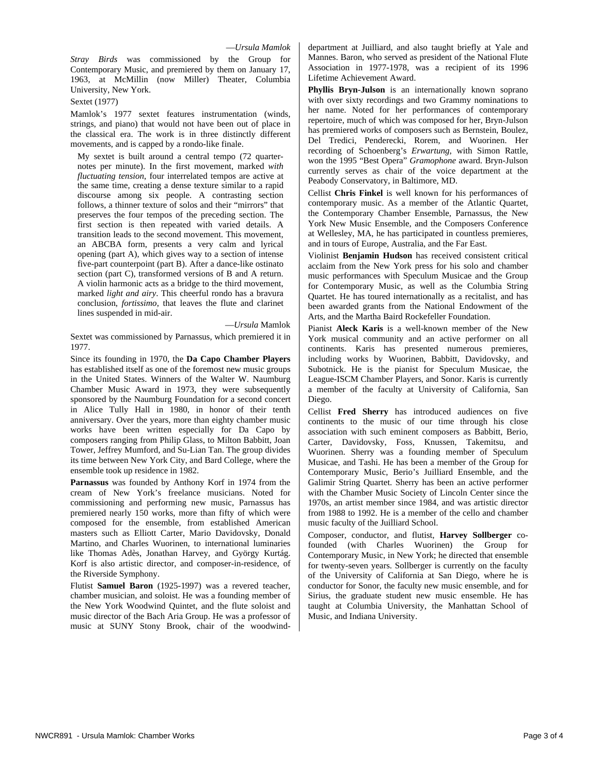*Stray Birds* was commissioned by the Group for Contemporary Music, and premiered by them on January 17, 1963, at McMillin (now Miller) Theater, Columbia University, New York.

Sextet (1977)

Mamlok's 1977 sextet features instrumentation (winds, strings, and piano) that would not have been out of place in the classical era. The work is in three distinctly different movements, and is capped by a rondo-like finale.

My sextet is built around a central tempo (72 quarternotes per minute). In the first movement, marked *with fluctuating tension*, four interrelated tempos are active at the same time, creating a dense texture similar to a rapid discourse among six people. A contrasting section follows, a thinner texture of solos and their "mirrors" that preserves the four tempos of the preceding section. The first section is then repeated with varied details. A transition leads to the second movement. This movement, an ABCBA form, presents a very calm and lyrical opening (part A), which gives way to a section of intense five-part counterpoint (part B). After a dance-like ostinato section (part C), transformed versions of B and A return. A violin harmonic acts as a bridge to the third movement, marked *light and airy*. This cheerful rondo has a bravura conclusion, *fortissimo*, that leaves the flute and clarinet lines suspended in mid-air.

—*Ursula* Mamlok

Sextet was commissioned by Parnassus, which premiered it in 1977.

Since its founding in 1970, the **Da Capo Chamber Players** has established itself as one of the foremost new music groups in the United States. Winners of the Walter W. Naumburg Chamber Music Award in 1973, they were subsequently sponsored by the Naumburg Foundation for a second concert in Alice Tully Hall in 1980, in honor of their tenth anniversary. Over the years, more than eighty chamber music works have been written especially for Da Capo by composers ranging from Philip Glass, to Milton Babbitt, Joan Tower, Jeffrey Mumford, and Su-Lian Tan. The group divides its time between New York City, and Bard College, where the ensemble took up residence in 1982.

**Parnassus** was founded by Anthony Korf in 1974 from the cream of New York's freelance musicians. Noted for commissioning and performing new music, Parnassus has premiered nearly 150 works, more than fifty of which were composed for the ensemble, from established American masters such as Elliott Carter, Mario Davidovsky, Donald Martino, and Charles Wuorinen, to international luminaries like Thomas Adès, Jonathan Harvey, and György Kurtág. Korf is also artistic director, and composer-in-residence, of the Riverside Symphony.

Flutist **Samuel Baron** (1925-1997) was a revered teacher, chamber musician, and soloist. He was a founding member of the New York Woodwind Quintet, and the flute soloist and music director of the Bach Aria Group. He was a professor of music at SUNY Stony Brook, chair of the woodwinddepartment at Juilliard, and also taught briefly at Yale and Mannes. Baron, who served as president of the National Flute Association in 1977-1978, was a recipient of its 1996 Lifetime Achievement Award.

**Phyllis Bryn-Julson** is an internationally known soprano with over sixty recordings and two Grammy nominations to her name. Noted for her performances of contemporary repertoire, much of which was composed for her, Bryn-Julson has premiered works of composers such as Bernstein, Boulez, Del Tredici, Penderecki, Rorem, and Wuorinen. Her recording of Schoenberg's *Erwartung*, with Simon Rattle, won the 1995 "Best Opera" *Gramophone* award. Bryn-Julson currently serves as chair of the voice department at the Peabody Conservatory, in Baltimore, MD.

Cellist **Chris Finkel** is well known for his performances of contemporary music. As a member of the Atlantic Quartet, the Contemporary Chamber Ensemble, Parnassus, the New York New Music Ensemble, and the Composers Conference at Wellesley, MA, he has participated in countless premieres, and in tours of Europe, Australia, and the Far East.

Violinist **Benjamin Hudson** has received consistent critical acclaim from the New York press for his solo and chamber music performances with Speculum Musicae and the Group for Contemporary Music, as well as the Columbia String Quartet. He has toured internationally as a recitalist, and has been awarded grants from the National Endowment of the Arts, and the Martha Baird Rockefeller Foundation.

Pianist **Aleck Karis** is a well-known member of the New York musical community and an active performer on all continents. Karis has presented numerous premieres, including works by Wuorinen, Babbitt, Davidovsky, and Subotnick. He is the pianist for Speculum Musicae, the League-ISCM Chamber Players, and Sonor. Karis is currently a member of the faculty at University of California, San Diego.

Cellist **Fred Sherry** has introduced audiences on five continents to the music of our time through his close association with such eminent composers as Babbitt, Berio, Carter, Davidovsky, Foss, Knussen, Takemitsu, and Wuorinen. Sherry was a founding member of Speculum Musicae, and Tashi. He has been a member of the Group for Contemporary Music, Berio's Juilliard Ensemble, and the Galimir String Quartet. Sherry has been an active performer with the Chamber Music Society of Lincoln Center since the 1970s, an artist member since 1984, and was artistic director from 1988 to 1992. He is a member of the cello and chamber music faculty of the Juilliard School.

Composer, conductor, and flutist, **Harvey Sollberger** cofounded (with Charles Wuorinen) the Group for Contemporary Music, in New York; he directed that ensemble for twenty-seven years. Sollberger is currently on the faculty of the University of California at San Diego, where he is conductor for Sonor, the faculty new music ensemble, and for Sirius, the graduate student new music ensemble. He has taught at Columbia University, the Manhattan School of Music, and Indiana University.